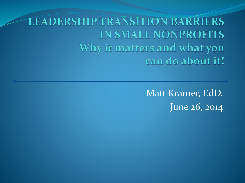**LEADERSHIP TRANSITION BARRIERS IN SMALL NONPROFITS** Why it matters and what you can do about it!

> Matt Kramer, EdD. June 26, 2014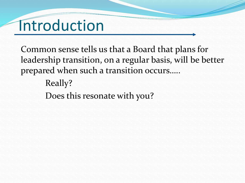#### Introduction

Common sense tells us that a Board that plans for leadership transition, on a regular basis, will be better prepared when such a transition occurs…..

Really? Does this resonate with you?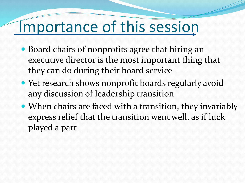### Importance of this session

- Board chairs of nonprofits agree that hiring an executive director is the most important thing that they can do during their board service
- Yet research shows nonprofit boards regularly avoid any discussion of leadership transition
- When chairs are faced with a transition, they invariably express relief that the transition went well, as if luck played a part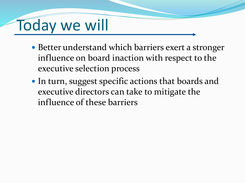### Today we will

- Better understand which barriers exert a stronger influence on board inaction with respect to the executive selection process
- In turn, suggest specific actions that boards and executive directors can take to mitigate the influence of these barriers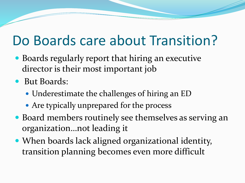### Do Boards care about Transition?

- Boards regularly report that hiring an executive director is their most important job
- But Boards:
	- Underestimate the challenges of hiring an ED
	- Are typically unprepared for the process
- Board members routinely see themselves as serving an organization…not leading it
- When boards lack aligned organizational identity, transition planning becomes even more difficult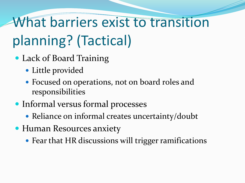# What barriers exist to transition planning? (Tactical)

- Lack of Board Training
	- Little provided
	- Focused on operations, not on board roles and responsibilities
- Informal versus formal processes
	- Reliance on informal creates uncertainty/doubt
- Human Resources anxiety
	- Fear that HR discussions will trigger ramifications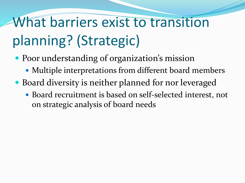# What barriers exist to transition planning? (Strategic)

- Poor understanding of organization's mission
	- Multiple interpretations from different board members
- Board diversity is neither planned for nor leveraged
	- Board recruitment is based on self-selected interest, not on strategic analysis of board needs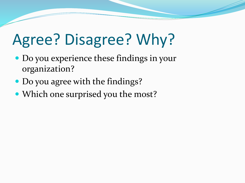# Agree? Disagree? Why?

- Do you experience these findings in your organization?
- Do you agree with the findings?
- Which one surprised you the most?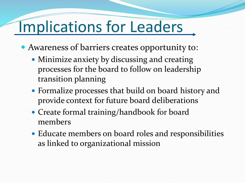### Implications for Leaders

- Awareness of barriers creates opportunity to:
	- Minimize anxiety by discussing and creating processes for the board to follow on leadership transition planning
	- Formalize processes that build on board history and provide context for future board deliberations
	- Create formal training/handbook for board members
	- Educate members on board roles and responsibilities as linked to organizational mission